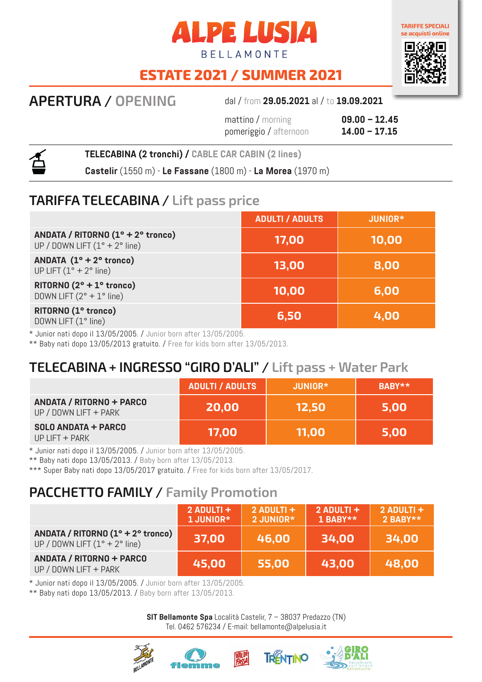



# **ESTATE 2021 / SUMMER 2021**

**APERTURA / OPENING** dal / from **29.05.2021** al / to **19.09.2021**

mattino / morning **09.00 – 12.45** pomeriggio / afternoon **14.00 – 17.15**



**TELECABINA (2 tronchi) / CABLE CAR CABIN (2 lines)**

**Castelir** (1550 m) - **Le Fassane** (1800 m) - **La Morea** (1970 m)

#### **TARIFFA TELECABINA / Lift pass price**

|                                                                                       | <b>ADULTI / ADULTS</b> | <b>JUNIOR*</b> |
|---------------------------------------------------------------------------------------|------------------------|----------------|
| ANDATA / RITORNO (1° + 2° tronco)<br>UP / DOWN LIFT $(1^{\circ} + 2^{\circ})$ line)   | 17,00                  | 10,00          |
| ANDATA $(1^{\circ} + 2^{\circ}$ tronco)<br>UP LIFT $(1^{\circ} + 2^{\circ})$ line)    | 13,00                  | 8,00           |
| RITORNO $(2^{\circ} + 1^{\circ}$ tronco)<br>DOWN LIFT $(2^{\circ} + 1^{\circ})$ line) | 10,00                  | 6,00           |
| RITORNO (1° tronco)<br>DOWN LIFT (1° line)                                            | 6,50                   | 4,00           |

\* Junior nati dopo il 13/05/2005. / Junior born after 13/05/2005.

\*\* Baby nati dopo 13/05/2013 gratuito. / Free for kids born after 13/05/2013.

## **TELECABINA + INGRESSO "GIRO D'ALI" / Lift pass + Water Park**

|                                                          | <b>ADULTI / ADULTS</b> | JUNIOR*      | BABY** |
|----------------------------------------------------------|------------------------|--------------|--------|
| <b>ANDATA / RITORNO + PARCO</b><br>UP / DOWN LIFT + PARK | <b>20,00</b>           | <b>12.50</b> | 5,00   |
| <b>SOLO ANDATA + PARCO</b><br>$UP$ LIFT $+$ PARK         | 17,00                  | 11,00        | 5,00   |

\* Junior nati dopo il 13/05/2005. / Junior born after 13/05/2005.

\*\* Baby nati dopo 13/05/2013. / Baby born after 13/05/2013.

\*\*\* Super Baby nati dopo 13/05/2017 gratuito. / Free for kids born after 13/05/2017.

## **PACCHETTO FAMILY / Family Promotion**

|                                                                                                     | $2$ ADULTI +<br>1 JUNIOR* | $2$ ADULTI +<br>2 JUNIOR* | $2$ ADULTI +<br>$1$ BABY** | $2$ ADULTI +<br>2 BABY** |
|-----------------------------------------------------------------------------------------------------|---------------------------|---------------------------|----------------------------|--------------------------|
| ANDATA / RITORNO $(1^{\circ} + 2^{\circ}$ tronco)<br>UP / DOWN LIFT $(1^{\circ} + 2^{\circ})$ line) | 37,00                     | 46,00                     | 34,00                      | 34,00                    |
| <b>ANDATA / RITORNO + PARCO</b><br>UP / DOWN LIFT + PARK                                            | 45,00                     | 55,00                     | 43,00                      | 48,00                    |

\* Junior nati dopo il 13/05/2005. / Junior born after 13/05/2005.

\*\* Baby nati dopo 13/05/2013. / Baby born after 13/05/2013.

**SIT Bellamonte Spa** Località Castelir, 7 – 38037 Predazzo (TN) Tel. 0462 576234 / E-mail: bellamonte@alpelusia.it